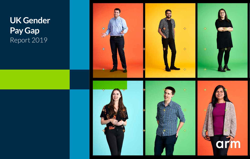# **UK Gender Pay Gap** Report 2019

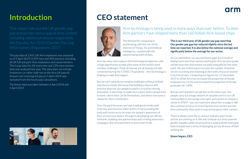### arn

### **Introduction**

This report sets out the UK gender pay including additional data as required by the Equality Act 2010 (Gender Pay Gap Information) Regulations 2017.

The pay data of 2,451 UK Arm employees was analysed as of 5 April 2019 (1,947 men and 504 women), including all UK full and part-time employees and casual workers. This is pay data for 6% more men and 12% more women than was analysed last year. The data does not include freelancers or other staff not on the Arm UK payroll. Anyone not receiving full pay on 5 April 2019 was excluded from the hourly pay calculations.

The bonus data was taken between 6 April 2018 and 5 April 2019.



### **CEO statement**



The demand for computing is accelerating, with the rise of the Internet of Things, 5G and Artificial Intelligence, coupled with the exponential growth of data.

Arm has a key role to play in this technological explosion, and a huge opportunity to help solve some of the world's most complex challenges. Think of how we are all staying virtually connected during the COVID-19 pandemic - Arm technology is helping to make that happen.

But we can't solve these complex challenges without brilliant and diverse minds. We know that building a diverse and inclusive place for our people to work is crucial for driving innovation. It also helps to make Arm a place where people love to work, where they can be themselves, and where everyone is valued for their contribution.

Over the past few years we have made great strides with Diversity and Inclusion (D&I) at Arm. From providing the tools and resources to increase our people's awareness of their unconscious biases, through to developing our affinity networks, building new partnerships and creating awareness campaigns. But we know there is much more to do.

### Arm technology is being used in more ways than ever before. To date, Arm partners have shipped more than 160 billion Arm-based chips.

**This is our third year of UK gender pay gap reporting. Our gender pay gap has reduced slightly since the last time we reported. It is also below the national average and significantly below the average for our sector.** 

As I've said before, our pay and bonus gaps are a result of having more men than women working for Arm at every grade, not because men and women are paid unequally for the same work. We are continuing to increase the number of women we are recruiting and retaining at Arm with a focus on women in technical roles. Comparing our figures for 31 December 2019 to 2018, Arm has increased the proportion of female employees by 1.51% and increased the proportion of female graduates by 1.40%.

But we can't and don't accept this as the status quo. Our people carry out a huge amount of valuable work in our UK communities to encourage more girls and women to choose a career in STEM – you can read more about this on page 6. We also continue to focus on ensuring that once women join the Arm community, they want to stay and progress their careers.

There is always more for us and our industry peers to do – and we are working on it. We will continue our drive towards gender equality, while ensuring Arm is a place where everyone feels included and a sense of belonging, across all areas of their working life.

**Simon Segars, CEO**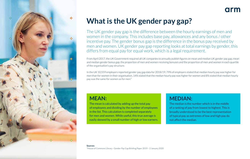

### **What is the UK gender pay gap?**

The UK gender pay gap is the difference between the hourly earnings of men and women in the company. This includes base pay, allowances and any bonus / other incentive pay. The gender bonus gap is the difference in the bonus pay received by men and women. UK gender pay gap reporting looks at total earnings by gender, this differs from equal pay for equal work, which is a legal requirement.

From April 2017, the UK Government required all UK companies to annually publish figures on mean and median UK gender pay gap, mean and median gender bonus gap, the proportion of men and women receiving bonuses and the proportion of men and women in each quartile of the organisation's pay structure.

In the UK 10,559 employers reported gender pay gap data for 2018/19; 79% of employers stated that median hourly pay was higher for men than for women in their organisation, 14% stated that the median hourly pay was higher for women and 8% stated that median hourly pay was the same for women as for men.\*

### **MEAN:**

The mean is calculated by adding up the total pay of employees and dividing by the number of employees in the list. This calculation is completed separately for men and women. While useful, this true average is easily skewed by a small number of high or low earners.

### **MEDIAN:**

The median is the number which is in the middle of a ranking of pay from lowest to highest. This is broadly understood to be the best representation of typical pay as extremes of low and high pay do not affect the median.

arm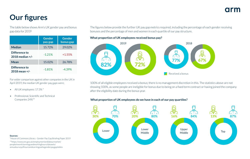## **Our figures**

The table below shows Arm's UK gender pay and bonus gap data for 2019

|                                      | <b>Gender</b><br>pay gap | <b>Gender</b><br>bonus gap |
|--------------------------------------|--------------------------|----------------------------|
| <b>Median</b>                        | 15.72%                   | 29.02%                     |
| Difference to<br>$2018$ median $+/-$ | $-1.21%$                 | $+1.55%$                   |
| Mean                                 | 15.02%                   | 26.78%                     |
| Difference to<br>2018 mean +/-       | $-1.81%$                 | $-4.39%$                   |

For wider comparison against other companies in the UK in April 2019, the median UK gender pay gaps were;

- All UK employees: 17.3% \*
- Professional, Scientific and Technical Companies 24%\*\*

**Sources:**

\*House of Commons Library - Gender Pay Gap Briefing Paper 2019 \*\*https://www.ons.gov.uk/employmentandlabourmarket/ peopleinwork/earningsandworkinghours/datasets/ annualsurveyofhoursandearningsashegenderpaygaptables

The figures below provide the further UK pay gap metrics required, including the percentage of each gender receiving bonuses and the percentage of men and women in each quartile of our pay structure.

**What proportion of UK employees received bonus pay?**



100% of all eligible employees received a bonus; there is no management discretion in this. The statistics above are not showing 100%, as some people are ineligible for bonus due to being on a fixed term contract or having joined the company after the eligibility date during the bonus year.

#### **What proportion of UK employees do we have in each of our pay quartiles?**

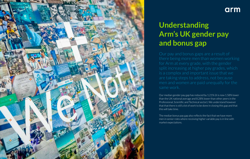

### arm

### **Understanding Arm's UK gender pay and bonus gap**

Our pay and bonus gaps are a result of for Arm at every grade, with the gender split increasing at higher pay grades, which are taking steps to address, not because same work.

Our median gender pay gap has reduced by 1.21% (it is now 1.58% lower than the UK national average and 8.28% lower than other peers in the Professional, Scientific and Technical sector). We understand however that that there is still a lot of work to be done in closing this gap and that this will take time.

The median bonus pay gap also reflects the fact that we have more men in senior roles where receiving higher variable pay is in line with market expectations.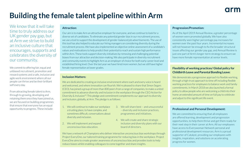# **Building the female talent pipeline within Arm**

We know that it will take time to truly address our UK gender pay gap, but at Arm we strive to build an inclusive culture that encourages, supports and celebrates the diversity of our community.

We commit to offering fair, equal and unbiased recruitment, promotion and reward systems and a safe, inclusive and agile work environment where all our people can thrive and be their brilliant self every day.

From attracting female talent to Arm, through to growing, developing and retaining them once they have joined us, we are focused on building programmes that ensure that everyone has an equal opportunity to progress. These include:

#### **Attraction:**

Our aim is to make Arm an attractive employer for everyone, and we continue to look for a diverse set of candidates. To eliminate any potential gender bias in our recruitment process, we use a tool to support the development of gender-balanced job advertisements. The use of this tool has also helped to educate our hiring managers on considering diversity during the recruitment process. We have also implemented an objective online assessment of a candidate's values and motivations to help predict their potential to reach and sustain high performance within Arm. These tools support diversity initiatives by removing and challenging potential biases from our attraction and decision-making. We also participate in diversity recruitment and community events to highlight Arm as an employer of choice for both early career level and established hiring level. Over the last year we have hired more women, but we still have higher female representation at lower grades.

#### **Inclusion Matters:**

We are dedicated to creating an inclusive environment where each and every voice is heard and welcomed, and where innovation can flourish. We're pleased to share that Simon Segars (CEO), has joined a group of more than 800 peers from a range of companies, to make a united commitment to advance diversity and inclusion in the workplace through the CEO Action for Diversity & Inclusion™. This pledge and commitment complements our approach to diversity and inclusion, globally, at Arm. The pledge is as follows:

- 1. We will continue to make our workplace a trusting place, to have complex, and sometimes difficult, conversations about diversity and inclusion.
- 2. We will implement and expand unconscious bias education.
- 3. We will share best and unsuccessful – diversity and inclusion practices, programmes and initiatives.
- 4. We will create and share strategic inclusion and diversity plans with our board of directors.

We have a network of Champions who deliver interactive unconscious bias workshops through Project EveryOne, our tailored training programme for reducing bias in the workplace. Project EveryOne aims to create greater awareness of unconscious bias and provides tools to help reduce biases whilst enabling colleagues to come together and share insights.

#### **Progression/Promotion:**

As of the April 2019 Annual Review, a greater percentage of women were promoted globally. We have also consistently seen higher percentage pay increases for women over the past four years. Incremental increases will not however be enough to fix the broader structural issues affecting our gender pay gap, and Annual Review is just one part of Arm's longer-term strategy to ensure we have more female representation at senior levels.

#### **Flexibility of working practices/ Global policy for Childbirth Leave and Parental Bonding Leave:**

We demonstrate a progressive approach to flexible working, through a high-trust approach to time off including flexible working practices for employees to balance work and family commitments. In March 2018 we also launched a formal policy to allow people who are welcoming a child into their home an extended amount of time on full pay to celebrate and adjust to this significant life event.

#### **Professional and Personal Development:**

We are committed to ensuring that all employees are offered learning, development and progression opportunities, to help them thrive and get them ready for their next step in their career at Arm. All our employees have access to Everywoman Network personal and professional development resources. Arm is a proud supporter of Catalyst, providing our employees with insights, inspiration, and solutions on accelerating progress for women.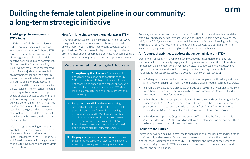## **Building the female talent pipeline in our community: a long-term strategic initiative**

#### **The bigger picture – women in STEM today**

In 2019, the World Economic Forum (WEF) confirmed some of the reasons why women and girls don't choose STEM careers: "… lack of encouragement, active discouragement, lack of role models, negative peer pressure and harassment. Studies show that it is not an ability issue. Women from under-represented groups face prejudice twice over, both against their gender and their race. In some countries in the developing world, girls still struggle for basic access to education and then for acceptance into the workplace." The Arm School Program is working with its partners to help enable equitable access to quality STEM and Computing education through its growing Content and Training initiatives. But Arm also has a vital role to play in reaching out to girls and young women at school with role models who can help them identify themselves with a career in the tech sector.

With more girls attending school than ever before, there are grounds for hope. However, girls are still significantly under-represented in the STEM subjects and if we do not see rapid change, we will continue to have gender inequality within the workplace.

#### **How Arm is helping to close the gender gap in STEM**

At Arm we are focused on helping to change this narrative. We recognize that a solid foundation in STEM is a proven path to upward mobility; yet it's a path many young people, especially girls, don't take. We have a role to play in breaking down barriers, providing inspirational resources and connecting underserved and underrepresented young people to our employees as role models.

#### We are committed to addressing the imbalance by:

- **1. Strengthening the pipeline** There are still not enough girls are choosing to continue to study STEM subjects and, if they do, the majority are not choosing engineering as a career option. We must inspire more girls that studying STEM can lead to a meaningful and enjoyable career within our industry.
- **2. Increasing the visibility of women** working within Arm both internally and externally – role models play a vital and powerful role. By supporting programmes such as the WISE campaign's 'My Skills My Life', we can inspire girls through role profiling our women in technical roles at Arm. Internally we utilise campaigns such as Women in Engineering to highlight our achievements.
- **3. Helping young and experienced women** to know that they have a career with us, ensuring that we're attracting, recruiting and retaining women at Arm.

Annually, Arm joins many organisations, educational institutions and people around the world in events to mark Ada Lovelace Day. We have been supporting Ada Lovelace Day (ALD) since 2015, celebrating women's contributions to science, engineering, technology and maths (STEM). We host internal events and also use ALD to create a platform to inspire younger generations through educational outreach activities.

#### **Arm's outreach activities to address the gender imbalance in STEM**

Our network of Team Arm Champions (employees who in addition to their day role lead our employee community engagement programme within their offices), Education Ambassadors and members of our Women's Network, supported by colleagues, came together to deliver events for ALD19 throughout Arm. Here's just a snapshot of some of the activities that took place across the UK and Ireland with local schools:

- In Galway, our Team Arm Champion, Saoirse Stewart, organised with colleagues to host an all-girls workshop in partnership with Ireland's leading youth organisation, *Forogie*.
- In Sheffield, colleagues held an educational outreach day for 60+ year eight girls from five schools. They hosted a day of micro:bit sessions, promoting Do Your:Bit and selfawareness workshops for attendees.
- In Manchester, through our partnership with Uptree, the team hosted an insight day for students aged 16-19. Attendees gained insights into the technology industry, career paths and were able to spend time with colleagues from Arm. We've also co-hosted insight days with Uptree at our offices in Glasgow, Warwick and Loughborough.
- In London, we supported 50 girls aged between 7 and 11 at the Girls Leadership Academy Meet-up (GLAM), focused on soft skills development and encouraging them to be empowered to be trailblazers of the future.

#### **Looking to the Future?**

Together, our work is helping to grow the talent pipeline and share insights and inspiration both internally and externally. But we have more work to do to strengthen the talent pipeline, encouraging more girls to study STEM subjects and increasing the number of women choosing careers in STEM – we know that we can do this, but we have to work together and not in isolation.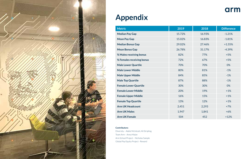

### **Appendix**

| <b>Metric</b>                | 2019   | 2018   | <b>Difference</b> |
|------------------------------|--------|--------|-------------------|
| <b>Median Pay Gap</b>        | 15.72% | 16.93% | $-1.21%$          |
| <b>Mean Pay Gap</b>          | 15.02% | 16.83% | $-1.81%$          |
| <b>Median Bonus Gap</b>      | 29.02% | 27.46% | $+1.55%$          |
| <b>Mean Bonus Gap</b>        | 26.78% | 31.17% | $-4.39%$          |
| % Males receiving bonus      | 82%    | 77%    | $+5%$             |
| % Females receiving bonus    | 72%    | 67%    | $+5%$             |
| <b>Male Lower Quartile</b>   | 70%    | 70%    | 0%                |
| <b>Male Lower Middle</b>     | 80%    | 81%    | $-1%$             |
| <b>Male Upper Middle</b>     | 84%    | 85%    | $-1%$             |
| <b>Male Top Quartile</b>     | 87%    | 88%    | $-1%$             |
| <b>Female Lower Quartile</b> | 30%    | 30%    | 0%                |
| <b>Female Lower Middle</b>   | 20%    | 19%    | $+1%$             |
| <b>Female Upper Middle</b>   | 16%    | 15%    | $+1%$             |
| <b>Female Top Quartile</b>   | 13%    | 12%    | $+1%$             |
| <b>Arm UK Headcount</b>      | 2,451  | 2,293  | $+7%$             |
| <b>Arm UK Males</b>          | 1,947  | 1,841  | $+6%$             |
| <b>Arm UK Female</b>         | 504    | 452    | $+12%$            |

arm

#### **Contributors:**

Diversity – Adele McIntosh; Ali Stripling Team Arm – Anna Malan Arm School Project – Nicholas Sample Global Pay Equity Project - Reward